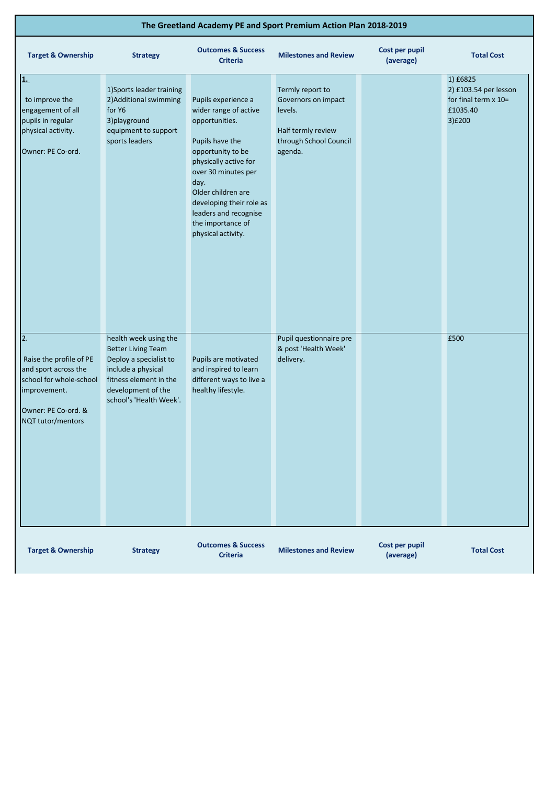| The Greetland Academy PE and Sport Premium Action Plan 2018-2019                                                                             |                                                                                                                                                                               |                                                                                                                                                                                                                                                                                      |                                                                                                               |                             |                                                                                    |
|----------------------------------------------------------------------------------------------------------------------------------------------|-------------------------------------------------------------------------------------------------------------------------------------------------------------------------------|--------------------------------------------------------------------------------------------------------------------------------------------------------------------------------------------------------------------------------------------------------------------------------------|---------------------------------------------------------------------------------------------------------------|-----------------------------|------------------------------------------------------------------------------------|
| <b>Target &amp; Ownership</b>                                                                                                                | <b>Strategy</b>                                                                                                                                                               | <b>Outcomes &amp; Success</b><br><b>Criteria</b>                                                                                                                                                                                                                                     | <b>Milestones and Review</b>                                                                                  | Cost per pupil<br>(average) | <b>Total Cost</b>                                                                  |
| 1.<br>to improve the<br>engagement of all<br>pupils in regular<br>physical activity.<br>Owner: PE Co-ord.                                    | 1) Sports leader training<br>2) Additional swimming<br>for Y6<br>3) playground<br>equipment to support<br>sports leaders                                                      | Pupils experience a<br>wider range of active<br>opportunities.<br>Pupils have the<br>opportunity to be<br>physically active for<br>over 30 minutes per<br>day.<br>Older children are<br>developing their role as<br>leaders and recognise<br>the importance of<br>physical activity. | Termly report to<br>Governors on impact<br>levels.<br>Half termly review<br>through School Council<br>agenda. |                             | 1) £6825<br>2) £103.54 per lesson<br>for final term $x$ 10=<br>£1035.40<br>3) £200 |
| 2.<br>Raise the profile of PE<br>and sport across the<br>school for whole-school<br>improvement.<br>Owner: PE Co-ord. &<br>NQT tutor/mentors | health week using the<br><b>Better Living Team</b><br>Deploy a specialist to<br>include a physical<br>fitness element in the<br>development of the<br>school's 'Health Week'. | Pupils are motivated<br>and inspired to learn<br>different ways to live a<br>healthy lifestyle.                                                                                                                                                                                      | Pupil questionnaire pre<br>& post 'Health Week'<br>delivery.                                                  |                             | £500                                                                               |
| <b>Target &amp; Ownership</b>                                                                                                                | <b>Strategy</b>                                                                                                                                                               | <b>Outcomes &amp; Success</b><br><b>Criteria</b>                                                                                                                                                                                                                                     | <b>Milestones and Review</b>                                                                                  | Cost per pupil<br>(average) | <b>Total Cost</b>                                                                  |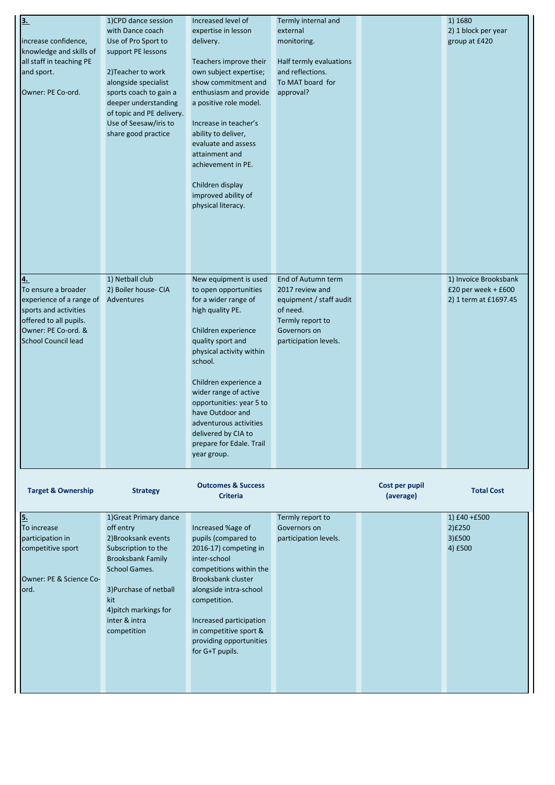| 3.<br>increase confidence,<br>knowledge and skills of<br>all staff in teaching PE<br>and sport.<br>Owner: PE Co-ord.                                                 | 1)CPD dance session<br>with Dance coach<br>Use of Pro Sport to<br>support PE lessons<br>2) Teacher to work<br>alongside specialist<br>sports coach to gain a<br>deeper understanding<br>of topic and PE delivery.<br>Use of Seesaw/iris to<br>share good practice | Increased level of<br>expertise in lesson<br>delivery.<br>Teachers improve their<br>own subject expertise;<br>show commitment and<br>enthusiasm and provide<br>a positive role model.<br>Increase in teacher's<br>ability to deliver,<br>evaluate and assess<br>attainment and<br>achievement in PE.<br>Children display<br>improved ability of<br>physical literacy.       | Termly internal and<br>external<br>monitoring.<br>Half termly evaluations<br>and reflections.<br>To MAT board for<br>approval?            |                             | 1) 1680<br>2) 1 block per year<br>group at £420                         |
|----------------------------------------------------------------------------------------------------------------------------------------------------------------------|-------------------------------------------------------------------------------------------------------------------------------------------------------------------------------------------------------------------------------------------------------------------|-----------------------------------------------------------------------------------------------------------------------------------------------------------------------------------------------------------------------------------------------------------------------------------------------------------------------------------------------------------------------------|-------------------------------------------------------------------------------------------------------------------------------------------|-----------------------------|-------------------------------------------------------------------------|
| $\overline{4}$ .<br>To ensure a broader<br>experience of a range of<br>sports and activities<br>offered to all pupils.<br>Owner: PE Co-ord. &<br>School Council lead | 1) Netball club<br>2) Boiler house- CIA<br>Adventures                                                                                                                                                                                                             | New equipment is used<br>to open opportunities<br>for a wider range of<br>high quality PE.<br>Children experience<br>quality sport and<br>physical activity within<br>school.<br>Children experience a<br>wider range of active<br>opportunities: year 5 to<br>have Outdoor and<br>adventurous activities<br>delivered by CIA to<br>prepare for Edale. Trail<br>year group. | End of Autumn term<br>2017 review and<br>equipment / staff audit<br>of need.<br>Termly report to<br>Governors on<br>participation levels. |                             | 1) Invoice Brooksbank<br>£20 per week + $£600$<br>2) 1 term at £1697.45 |
| <b>Target &amp; Ownership</b>                                                                                                                                        | <b>Strategy</b>                                                                                                                                                                                                                                                   | <b>Outcomes &amp; Success</b><br><b>Criteria</b>                                                                                                                                                                                                                                                                                                                            |                                                                                                                                           | Cost per pupil<br>(average) | <b>Total Cost</b>                                                       |
| <u>5.</u><br>To increase<br>participation in<br>competitive sport<br>Owner: PE & Science Co-<br>lord.                                                                | 1) Great Primary dance<br>off entry<br>2) Brooksank events<br>Subscription to the<br><b>Brooksbank Family</b><br>School Games.<br>3) Purchase of netball                                                                                                          | Increased %age of<br>pupils (compared to<br>2016-17) competing in<br>inter-school<br>competitions within the<br><b>Brooksbank cluster</b><br>alongside intra-school                                                                                                                                                                                                         | Termly report to<br>Governors on<br>participation levels.                                                                                 |                             | 1) $£40 + £500$<br>2)£250<br>3)£500<br>4) £500                          |

kit 4)pitch markings for inter & intra competition

competition.

Increased participation in competitive sport & providing opportunities for G+T pupils.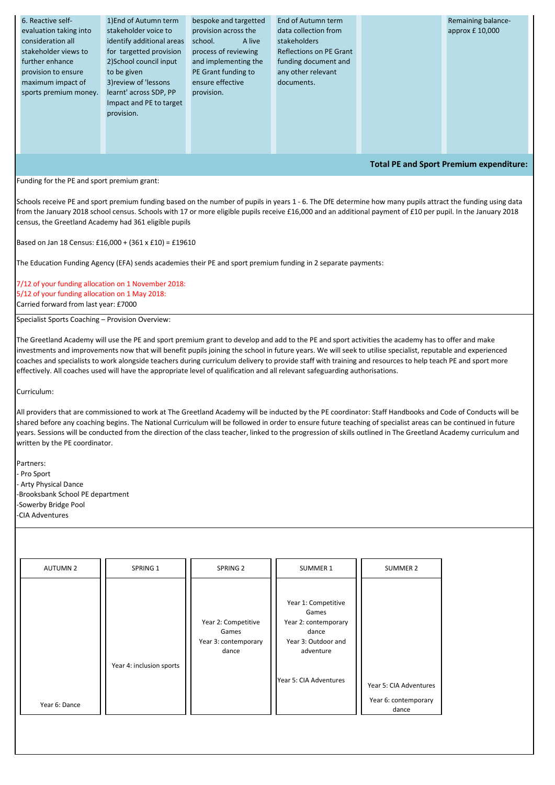| <b>AUTUMN 2</b> | SPRING 1 | SPRING 2 | <b>SUMMER 1</b> | SUMMER 2 |
|-----------------|----------|----------|-----------------|----------|
|                 |          |          |                 |          |

| 6. Reactive self-                              | 1) End of Autumn term     | bespoke and targetted | End of Autumn term      |  | Remaining balance- |  |
|------------------------------------------------|---------------------------|-----------------------|-------------------------|--|--------------------|--|
| evaluation taking into                         | stakeholder voice to      | provision across the  | data collection from    |  | approx £ 10,000    |  |
| consideration all                              | identify additional areas | A live<br>school.     | stakeholders            |  |                    |  |
| stakeholder views to                           | for targetted provision   | process of reviewing  | Reflections on PE Grant |  |                    |  |
| further enhance                                | 2) School council input   | and implementing the  | funding document and    |  |                    |  |
| provision to ensure                            | to be given               | PE Grant funding to   | any other relevant      |  |                    |  |
| maximum impact of                              | 3) review of 'lessons     | ensure effective      | documents.              |  |                    |  |
| sports premium money.                          | learnt' across SDP, PP    | provision.            |                         |  |                    |  |
|                                                | Impact and PE to target   |                       |                         |  |                    |  |
|                                                | provision.                |                       |                         |  |                    |  |
|                                                |                           |                       |                         |  |                    |  |
|                                                |                           |                       |                         |  |                    |  |
|                                                |                           |                       |                         |  |                    |  |
|                                                |                           |                       |                         |  |                    |  |
| <b>Total PE and Sport Premium expenditure:</b> |                           |                       |                         |  |                    |  |
|                                                |                           |                       |                         |  |                    |  |
| Funding for the PE and sport premium grant:    |                           |                       |                         |  |                    |  |

|               |                          | Year 2: Competitive<br>Games<br>Year 3: contemporary<br>dance | Year 1: Competitive<br>Games<br>Year 2: contemporary<br>dance<br>Year 3: Outdoor and<br>adventure |                                                         |
|---------------|--------------------------|---------------------------------------------------------------|---------------------------------------------------------------------------------------------------|---------------------------------------------------------|
| Year 6: Dance | Year 4: inclusion sports |                                                               | Year 5: CIA Adventures                                                                            | Year 5: CIA Adventures<br>Year 6: contemporary<br>dance |
|               |                          |                                                               |                                                                                                   |                                                         |

Schools receive PE and sport premium funding based on the number of pupils in years 1 - 6. The DfE determine how many pupils attract the funding using data from the January 2018 school census. Schools with 17 or more eligible pupils receive £16,000 and an additional payment of £10 per pupil. In the January 2018 census, the Greetland Academy had 361 eligible pupils

Based on Jan 18 Census: £16,000 + (361 x £10) = £19610

The Education Funding Agency (EFA) sends academies their PE and sport premium funding in 2 separate payments:

7/12 of your funding allocation on 1 November 2018: 5/12 of your funding allocation on 1 May 2018: Carried forward from last year: £7000

Specialist Sports Coaching – Provision Overview:

The Greetland Academy will use the PE and sport premium grant to develop and add to the PE and sport activities the academy has to offer and make investments and improvements now that will benefit pupils joining the school in future years. We will seek to utilise specialist, reputable and experienced coaches and specialists to work alongside teachers during curriculum delivery to provide staff with training and resources to help teach PE and sport more effectively. All coaches used will have the appropriate level of qualification and all relevant safeguarding authorisations.

Curriculum:

All providers that are commissioned to work at The Greetland Academy will be inducted by the PE coordinator: Staff Handbooks and Code of Conducts will be shared before any coaching begins. The National Curriculum will be followed in order to ensure future teaching of specialist areas can be continued in future years. Sessions will be conducted from the direction of the class teacher, linked to the progression of skills outlined in The Greetland Academy curriculum and written by the PE coordinator.

Partners: - Pro Sport - Arty Physical Dance -Brooksbank School PE department -Sowerby Bridge Pool -CIA Adventures